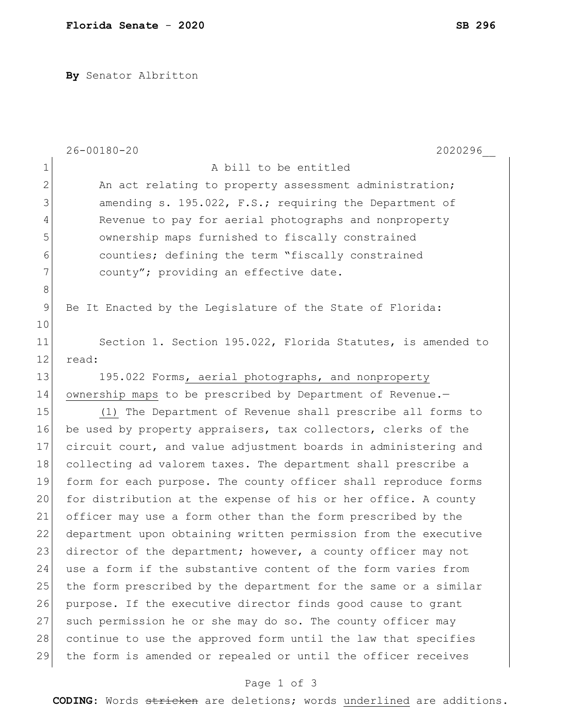**By** Senator Albritton

|               | $26 - 00180 - 20$<br>2020296                                    |
|---------------|-----------------------------------------------------------------|
| $\mathbf 1$   | A bill to be entitled                                           |
| $\mathbf{2}$  | An act relating to property assessment administration;          |
| 3             | amending s. 195.022, F.S.; requiring the Department of          |
| 4             | Revenue to pay for aerial photographs and nonproperty           |
| 5             | ownership maps furnished to fiscally constrained                |
| 6             | counties; defining the term "fiscally constrained               |
| 7             | county"; providing an effective date.                           |
| 8             |                                                                 |
| $\mathcal{G}$ | Be It Enacted by the Legislature of the State of Florida:       |
| 10            |                                                                 |
| 11            | Section 1. Section 195.022, Florida Statutes, is amended to     |
| 12            | read:                                                           |
| 13            | 195.022 Forms, aerial photographs, and nonproperty              |
| 14            | ownership maps to be prescribed by Department of Revenue.-      |
| 15            | (1) The Department of Revenue shall prescribe all forms to      |
| 16            | be used by property appraisers, tax collectors, clerks of the   |
| 17            | circuit court, and value adjustment boards in administering and |
| 18            | collecting ad valorem taxes. The department shall prescribe a   |
| 19            | form for each purpose. The county officer shall reproduce forms |
| 20            | for distribution at the expense of his or her office. A county  |
| 21            | officer may use a form other than the form prescribed by the    |
| 22            | department upon obtaining written permission from the executive |
| 23            | director of the department; however, a county officer may not   |
| 24            | use a form if the substantive content of the form varies from   |
| 25            | the form prescribed by the department for the same or a similar |
| 26            | purpose. If the executive director finds good cause to grant    |
| 27            | such permission he or she may do so. The county officer may     |
| 28            | continue to use the approved form until the law that specifies  |
| 29            | the form is amended or repealed or until the officer receives   |

## Page 1 of 3

**CODING**: Words stricken are deletions; words underlined are additions.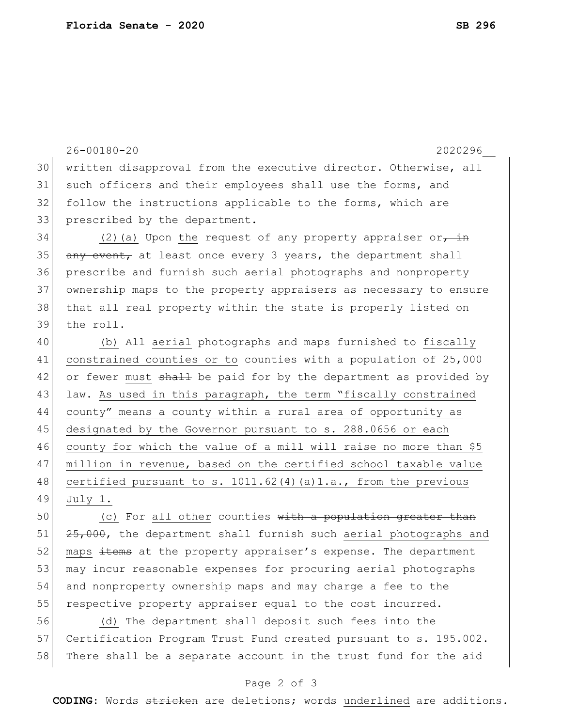26-00180-20 2020296\_\_ 30 written disapproval from the executive director. Otherwise, all 31 such officers and their employees shall use the forms, and 32 follow the instructions applicable to the forms, which are 33 prescribed by the department. 34 (2)(a) Upon the request of any property appraiser or<del>, in</del>  $35$  any event, at least once every 3 years, the department shall 36 prescribe and furnish such aerial photographs and nonproperty 37 ownership maps to the property appraisers as necessary to ensure 38 that all real property within the state is properly listed on 39 the roll. 40 (b) All aerial photographs and maps furnished to fiscally 41 constrained counties or to counties with a population of 25,000 42 or fewer must shall be paid for by the department as provided by 43 law. As used in this paragraph, the term "fiscally constrained 44 county" means a county within a rural area of opportunity as 45 designated by the Governor pursuant to s. 288.0656 or each 46 county for which the value of a mill will raise no more than \$5 47 million in revenue, based on the certified school taxable value 48 certified pursuant to s. 1011.62(4)(a)1.a., from the previous 49 July 1. 50 (c) For all other counties with a population greater than

51 25,000, the department shall furnish such aerial photographs and 52 maps items at the property appraiser's expense. The department 53 may incur reasonable expenses for procuring aerial photographs 54 and nonproperty ownership maps and may charge a fee to the 55 respective property appraiser equal to the cost incurred.

56 (d) The department shall deposit such fees into the 57 Certification Program Trust Fund created pursuant to s. 195.002. 58 There shall be a separate account in the trust fund for the aid

## Page 2 of 3

**CODING**: Words stricken are deletions; words underlined are additions.